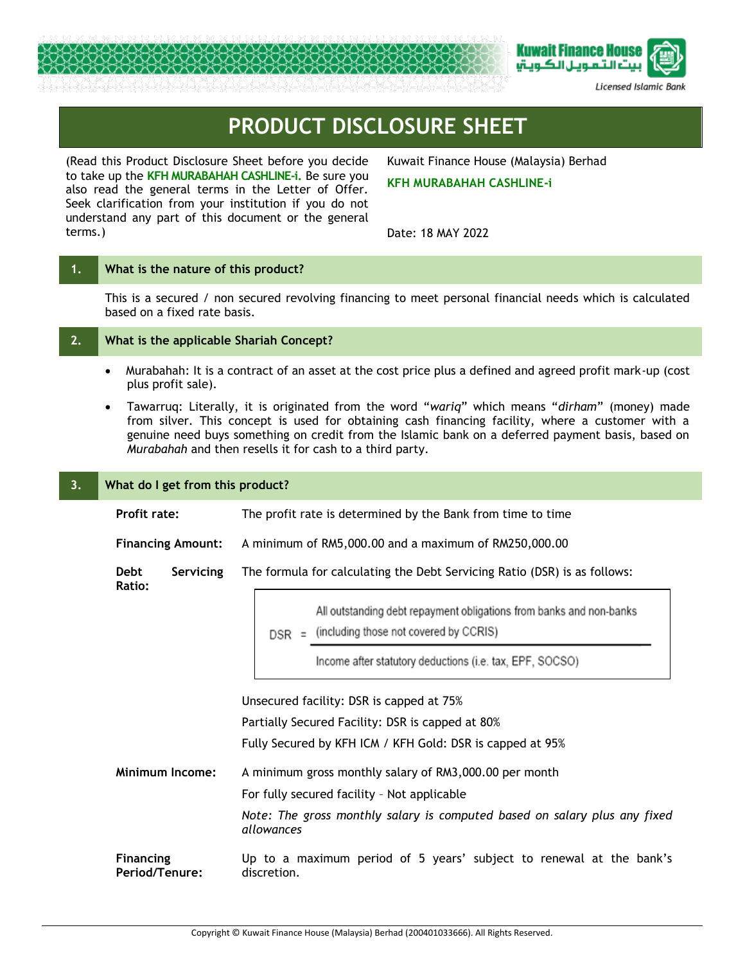



Licensed Islamic Bank

# **PRODUCT DISCLOSURE SHEET**

(Read this Product Disclosure Sheet before you decide to take up the **KFH MURABAHAH CASHLINE-i.** Be sure you also read the general terms in the Letter of Offer. Seek clarification from your institution if you do not understand any part of this document or the general terms.)

Kuwait Finance House (Malaysia) Berhad

## **KFH MURABAHAH CASHLINE-i**

Date: 18 MAY 2022

## **1. What is the nature of this product?**

This is a secured / non secured revolving financing to meet personal financial needs which is calculated based on a fixed rate basis.

## **2. What is the applicable Shariah Concept?**

- Murabahah: It is a contract of an asset at the cost price plus a defined and agreed profit mark-up (cost plus profit sale).
- Tawarruq: Literally, it is originated from the word "*wariq*" which means "*dirham*" (money) made from silver. This concept is used for obtaining cash financing facility, where a customer with a genuine need buys something on credit from the Islamic bank on a deferred payment basis, based on *Murabahah* and then resells it for cash to a third party.

| 3.                                                                                                                       | What do I get from this product?   |                                                                                                                       |  |  |  |  |
|--------------------------------------------------------------------------------------------------------------------------|------------------------------------|-----------------------------------------------------------------------------------------------------------------------|--|--|--|--|
|                                                                                                                          | <b>Profit rate:</b>                | The profit rate is determined by the Bank from time to time                                                           |  |  |  |  |
|                                                                                                                          | <b>Financing Amount:</b>           | A minimum of RM5,000.00 and a maximum of RM250,000.00                                                                 |  |  |  |  |
|                                                                                                                          | Servicing<br><b>Debt</b><br>Ratio: | The formula for calculating the Debt Servicing Ratio (DSR) is as follows:                                             |  |  |  |  |
|                                                                                                                          |                                    | All outstanding debt repayment obligations from banks and non-banks<br>$DSR =$ (including those not covered by CCRIS) |  |  |  |  |
|                                                                                                                          |                                    | Income after statutory deductions (i.e. tax, EPF, SOCSO)                                                              |  |  |  |  |
|                                                                                                                          |                                    | Unsecured facility: DSR is capped at 75%                                                                              |  |  |  |  |
|                                                                                                                          |                                    | Partially Secured Facility: DSR is capped at 80%                                                                      |  |  |  |  |
|                                                                                                                          |                                    | Fully Secured by KFH ICM / KFH Gold: DSR is capped at 95%                                                             |  |  |  |  |
|                                                                                                                          | <b>Minimum Income:</b>             | A minimum gross monthly salary of RM3,000.00 per month                                                                |  |  |  |  |
|                                                                                                                          |                                    | For fully secured facility - Not applicable                                                                           |  |  |  |  |
|                                                                                                                          |                                    | Note: The gross monthly salary is computed based on salary plus any fixed<br>allowances                               |  |  |  |  |
| <b>Financing</b><br>Up to a maximum period of 5 years' subject to renewal at the bank's<br>Period/Tenure:<br>discretion. |                                    |                                                                                                                       |  |  |  |  |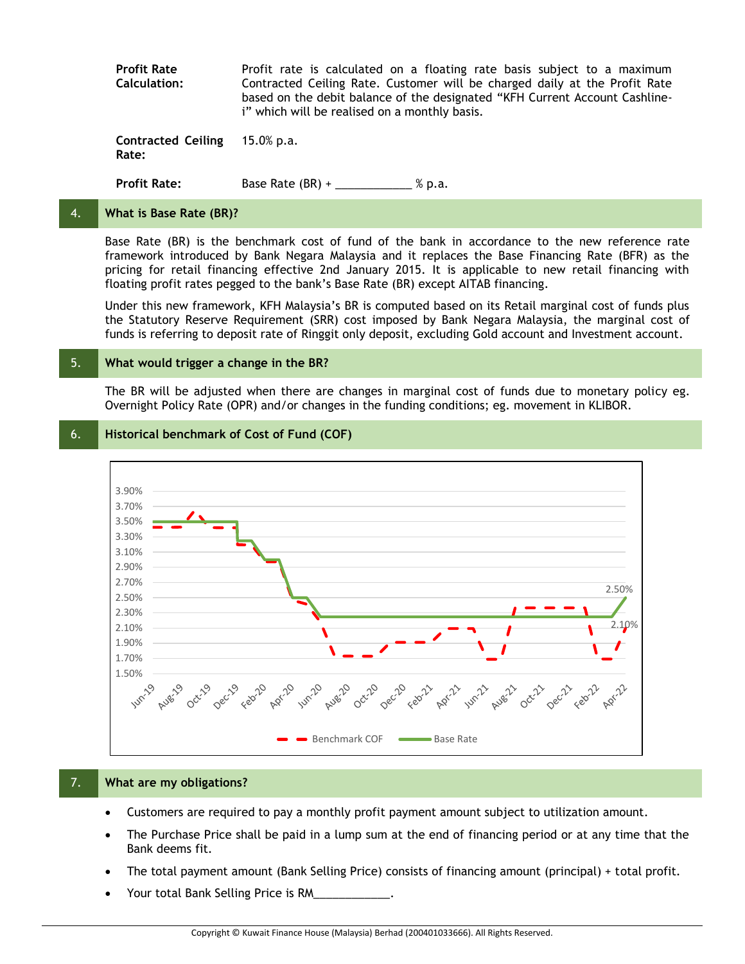**Profit Rate Calculation:** Profit rate is calculated on a floating rate basis subject to a maximum Contracted Ceiling Rate. Customer will be charged daily at the Profit Rate based on the debit balance of the designated "KFH Current Account Cashlinei" which will be realised on a monthly basis.

**Contracted Ceiling Rate:** 15.0% p.a.

**Profit Rate:** Base Rate (BR) + \_\_\_\_\_\_\_\_\_\_ % p.a.

## 4. **What is Base Rate (BR)?**

Base Rate (BR) is the benchmark cost of fund of the bank in accordance to the new reference rate framework introduced by Bank Negara Malaysia and it replaces the Base Financing Rate (BFR) as the pricing for retail financing effective 2nd January 2015. It is applicable to new retail financing with floating profit rates pegged to the bank's Base Rate (BR) except AITAB financing.

Under this new framework, KFH Malaysia's BR is computed based on its Retail marginal cost of funds plus the Statutory Reserve Requirement (SRR) cost imposed by Bank Negara Malaysia, the marginal cost of funds is referring to deposit rate of Ringgit only deposit, excluding Gold account and Investment account.

## 5. **What would trigger a change in the BR?**

The BR will be adjusted when there are changes in marginal cost of funds due to monetary policy eg. Overnight Policy Rate (OPR) and/or changes in the funding conditions; eg. movement in KLIBOR.

## 6. **Historical benchmark of Cost of Fund (COF)**



## 7. **What are my obligations?**

- Customers are required to pay a monthly profit payment amount subject to utilization amount.
- The Purchase Price shall be paid in a lump sum at the end of financing period or at any time that the Bank deems fit.
- The total payment amount (Bank Selling Price) consists of financing amount (principal) + total profit.
- Your total Bank Selling Price is RM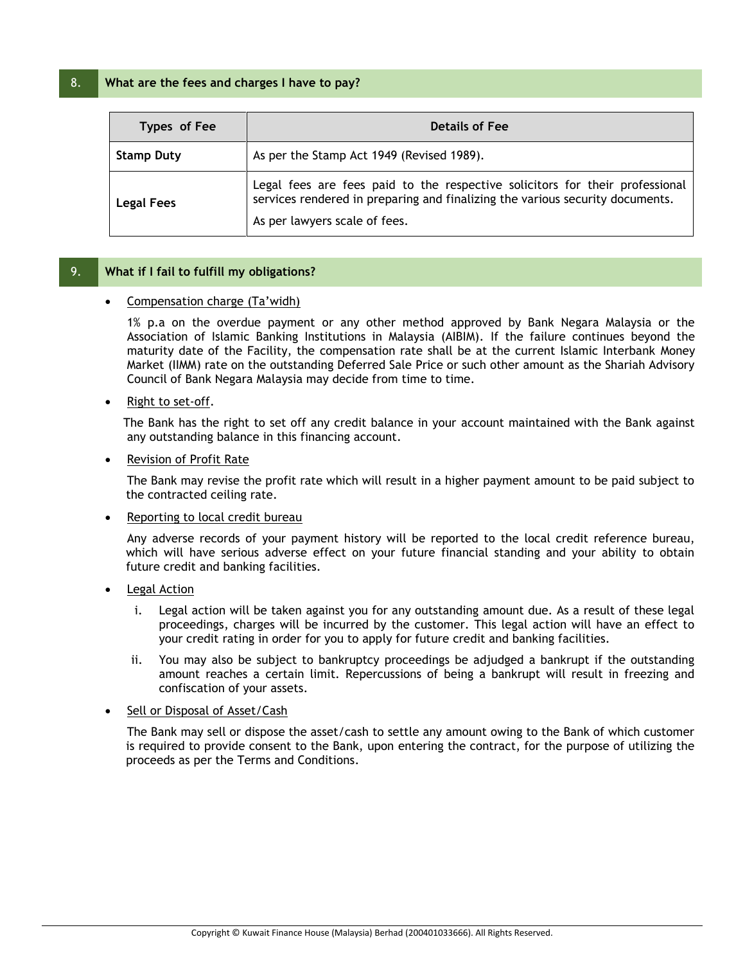## 8. **What are the fees and charges I have to pay?**

| Types of Fee      | <b>Details of Fee</b>                                                                                                                                                                          |
|-------------------|------------------------------------------------------------------------------------------------------------------------------------------------------------------------------------------------|
| <b>Stamp Duty</b> | As per the Stamp Act 1949 (Revised 1989).                                                                                                                                                      |
| <b>Legal Fees</b> | Legal fees are fees paid to the respective solicitors for their professional<br>services rendered in preparing and finalizing the various security documents.<br>As per lawyers scale of fees. |

## 9. **What if I fail to fulfill my obligations?**

## Compensation charge (Ta'widh)

1% p.a on the overdue payment or any other method approved by Bank Negara Malaysia or the Association of Islamic Banking Institutions in Malaysia (AIBIM). If the failure continues beyond the maturity date of the Facility, the compensation rate shall be at the current Islamic Interbank Money Market (IIMM) rate on the outstanding Deferred Sale Price or such other amount as the Shariah Advisory Council of Bank Negara Malaysia may decide from time to time.

Right to set-off.

 The Bank has the right to set off any credit balance in your account maintained with the Bank against any outstanding balance in this financing account.

Revision of Profit Rate

The Bank may revise the profit rate which will result in a higher payment amount to be paid subject to the contracted ceiling rate.

Reporting to local credit bureau

Any adverse records of your payment history will be reported to the local credit reference bureau, which will have serious adverse effect on your future financial standing and your ability to obtain future credit and banking facilities.

- Legal Action
	- i. Legal action will be taken against you for any outstanding amount due. As a result of these legal proceedings, charges will be incurred by the customer. This legal action will have an effect to your credit rating in order for you to apply for future credit and banking facilities.
	- ii. You may also be subject to bankruptcy proceedings be adjudged a bankrupt if the outstanding amount reaches a certain limit. Repercussions of being a bankrupt will result in freezing and confiscation of your assets.

## Sell or Disposal of Asset/Cash

The Bank may sell or dispose the asset/cash to settle any amount owing to the Bank of which customer is required to provide consent to the Bank, upon entering the contract, for the purpose of utilizing the proceeds as per the Terms and Conditions.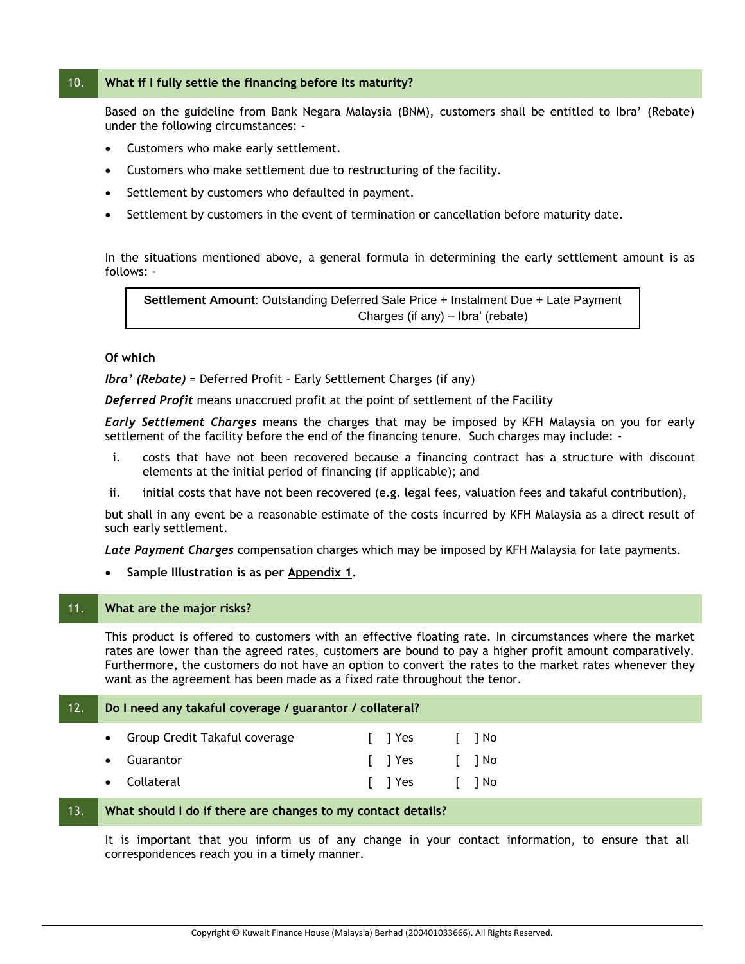## 10. **What if I fully settle the financing before its maturity?**

Based on the guideline from Bank Negara Malaysia (BNM), customers shall be entitled to Ibra' (Rebate) under the following circumstances: -

- Customers who make early settlement.
- Customers who make settlement due to restructuring of the facility.
- Settlement by customers who defaulted in payment.
- Settlement by customers in the event of termination or cancellation before maturity date.

In the situations mentioned above, a general formula in determining the early settlement amount is as follows: -

**Settlement Amount**: Outstanding Deferred Sale Price + Instalment Due + Late Payment Charges (if any) – Ibra' (rebate)

## **Of which**

*Ibra' (Rebate)* = Deferred Profit – Early Settlement Charges (if any)

*Deferred Profit* means unaccrued profit at the point of settlement of the Facility

*Early Settlement Charges* means the charges that may be imposed by KFH Malaysia on you for early settlement of the facility before the end of the financing tenure. Such charges may include: -

- i. costs that have not been recovered because a financing contract has a structure with discount elements at the initial period of financing (if applicable); and
- ii. initial costs that have not been recovered (e.g. legal fees, valuation fees and takaful contribution),

but shall in any event be a reasonable estimate of the costs incurred by KFH Malaysia as a direct result of such early settlement.

*Late Payment Charges* compensation charges which may be imposed by KFH Malaysia for late payments.

## **Sample Illustration is as per Appendix 1.**

### 11. **What are the major risks?**

This product is offered to customers with an effective floating rate. In circumstances where the market rates are lower than the agreed rates, customers are bound to pay a higher profit amount comparatively. Furthermore, the customers do not have an option to convert the rates to the market rates whenever they want as the agreement has been made as a fixed rate throughout the tenor.

| 12. | Do I need any takaful coverage / guarantor / collateral? |                                 |  |        |  |       |  |
|-----|----------------------------------------------------------|---------------------------------|--|--------|--|-------|--|
|     |                                                          | • Group Credit Takaful coverage |  | I TYes |  | I INO |  |
|     |                                                          | • Guarantor                     |  | I TYes |  | I INO |  |
|     |                                                          | • Collateral                    |  | I TYes |  | I INO |  |

## 13. **What should I do if there are changes to my contact details?**

It is important that you inform us of any change in your contact information, to ensure that all correspondences reach you in a timely manner.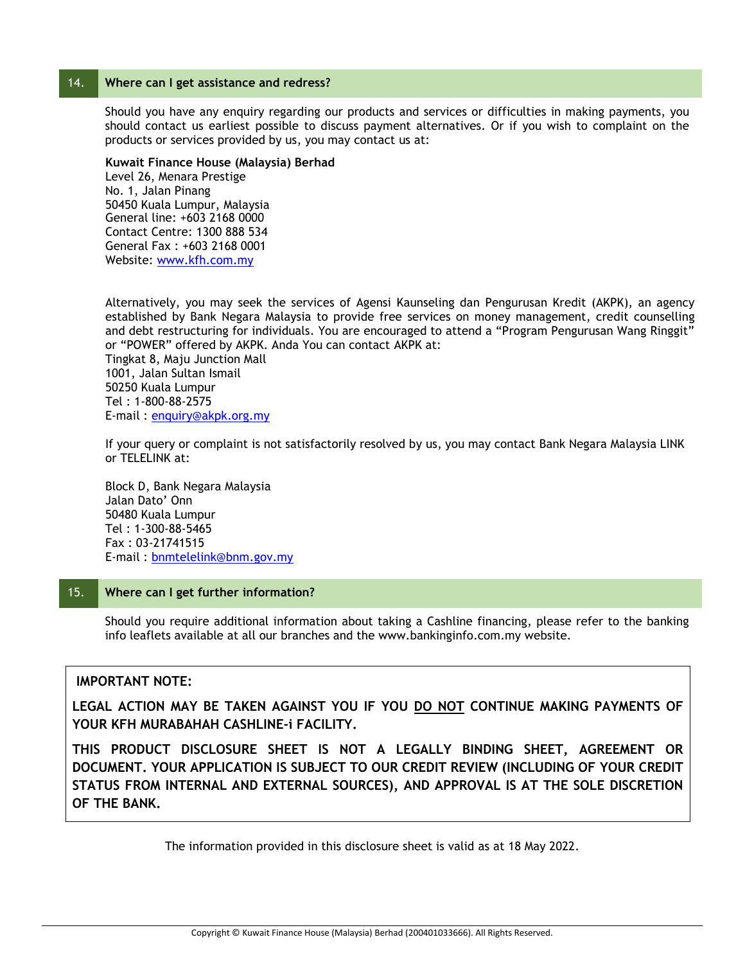## 14. **Where can I get assistance and redress?**

Should you have any enquiry regarding our products and services or difficulties in making payments, you should contact us earliest possible to discuss payment alternatives. Or if you wish to complaint on the products or services provided by us, you may contact us at:

## **Kuwait Finance House (Malaysia) Berhad**

Level 26, Menara Prestige No. 1, Jalan Pinang 50450 Kuala Lumpur, Malaysia General line: +603 2168 0000 Contact Centre: 1300 888 534 General Fax : +603 2168 0001 Website: [www.kfh.com.my](http://www.kfh.com.my/)

Alternatively, you may seek the services of Agensi Kaunseling dan Pengurusan Kredit (AKPK), an agency established by Bank Negara Malaysia to provide free services on money management, credit counselling and debt restructuring for individuals. You are encouraged to attend a "Program Pengurusan Wang Ringgit" or "POWER" offered by AKPK. Anda You can contact AKPK at: Tingkat 8, Maju Junction Mall 1001, Jalan Sultan Ismail 50250 Kuala Lumpur Tel : 1-800-88-2575 E-mail : [enquiry@akpk.org.my](mailto:enquiry@akpk.org.my)

If your query or complaint is not satisfactorily resolved by us, you may contact Bank Negara Malaysia LINK or TELELINK at:

Block D, Bank Negara Malaysia Jalan Dato' Onn 50480 Kuala Lumpur Tel : 1-300-88-5465 Fax : 03-21741515 E-mail : [bnmtelelink@bnm.gov.my](mailto:bnmtelelink@bnm.gov.my)

## 15. **Where can I get further information?**

Should you require additional information about taking a Cashline financing, please refer to the banking info leaflets available at all our branches and the www.bankinginfo.com.my website.

## **IMPORTANT NOTE:**

**LEGAL ACTION MAY BE TAKEN AGAINST YOU IF YOU DO NOT CONTINUE MAKING PAYMENTS OF YOUR KFH MURABAHAH CASHLINE-i FACILITY.**

**THIS PRODUCT DISCLOSURE SHEET IS NOT A LEGALLY BINDING SHEET, AGREEMENT OR DOCUMENT. YOUR APPLICATION IS SUBJECT TO OUR CREDIT REVIEW (INCLUDING OF YOUR CREDIT STATUS FROM INTERNAL AND EXTERNAL SOURCES), AND APPROVAL IS AT THE SOLE DISCRETION OF THE BANK.**

The information provided in this disclosure sheet is valid as at 18 May 2022.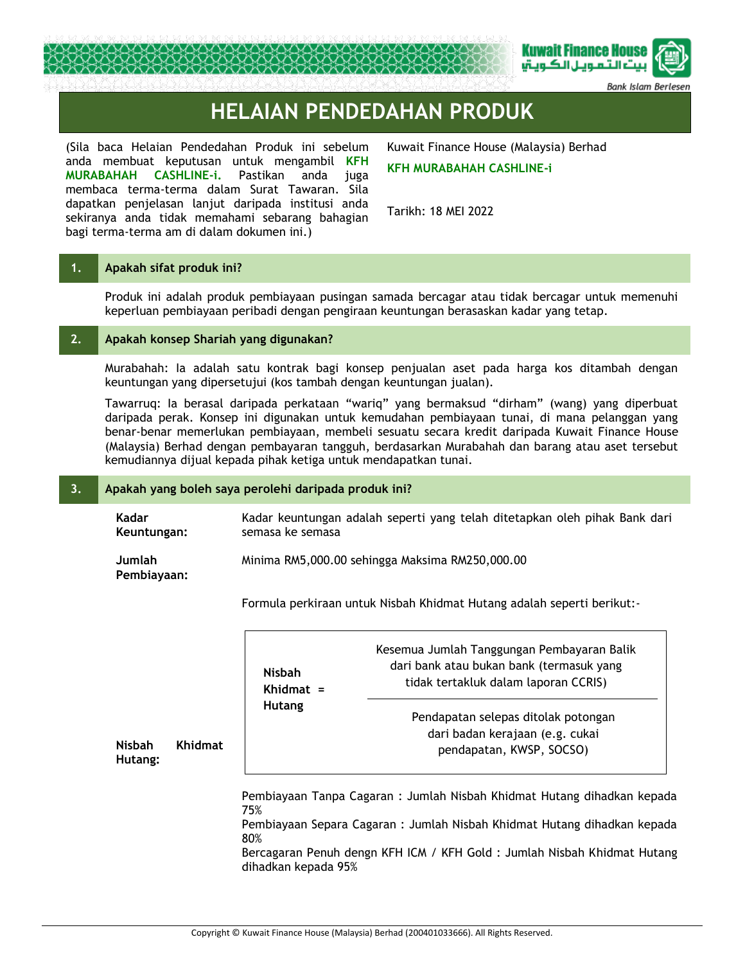

Bank Islam Berl

# **HELAIAN PENDEDAHAN PRODUK**

(Sila baca Helaian Pendedahan Produk ini sebelum anda membuat keputusan untuk mengambil **KFH MURABAHAH CASHLINE-i.** Pastikan anda juga membaca terma-terma dalam Surat Tawaran. Sila dapatkan penjelasan lanjut daripada institusi anda sekiranya anda tidak memahami sebarang bahagian bagi terma-terma am di dalam dokumen ini.)

Kuwait Finance House (Malaysia) Berhad **KFH MURABAHAH CASHLINE-i** 

Tarikh: 18 MEI 2022

## **1. Apakah sifat produk ini?**

**Nisbah Hutang:**

Produk ini adalah produk pembiayaan pusingan samada bercagar atau tidak bercagar untuk memenuhi keperluan pembiayaan peribadi dengan pengiraan keuntungan berasaskan kadar yang tetap.

## **2. Apakah konsep Shariah yang digunakan?**

Murabahah: Ia adalah satu kontrak bagi konsep penjualan aset pada harga kos ditambah dengan keuntungan yang dipersetujui (kos tambah dengan keuntungan jualan).

Tawarruq: Ia berasal daripada perkataan "wariq" yang bermaksud "dirham" (wang) yang diperbuat daripada perak. Konsep ini digunakan untuk kemudahan pembiayaan tunai, di mana pelanggan yang benar-benar memerlukan pembiayaan, membeli sesuatu secara kredit daripada Kuwait Finance House (Malaysia) Berhad dengan pembayaran tangguh, berdasarkan Murabahah dan barang atau aset tersebut kemudiannya dijual kepada pihak ketiga untuk mendapatkan tunai.

## **3. Apakah yang boleh saya perolehi daripada produk ini?**

**Kadar Keuntungan:** Kadar keuntungan adalah seperti yang telah ditetapkan oleh pihak Bank dari semasa ke semasa

#### **Jumlah Pembiayaan:** Minima RM5,000.00 sehingga Maksima RM250,000.00

Formula perkiraan untuk Nisbah Khidmat Hutang adalah seperti berikut:-

| <b>Khidmat</b> | <b>Nisbah</b><br>Khidmat $=$ | Kesemua Jumlah Tanggungan Pembayaran Balik<br>dari bank atau bukan bank (termasuk yang<br>tidak tertakluk dalam laporan CCRIS) |
|----------------|------------------------------|--------------------------------------------------------------------------------------------------------------------------------|
|                | <b>Hutang</b>                | Pendapatan selepas ditolak potongan<br>dari badan kerajaan (e.g. cukai<br>pendapatan, KWSP, SOCSO)                             |
|                | 75%                          | Pembiayaan Tanpa Cagaran : Jumlah Nisbah Khidmat Hutang dihadkan kepada                                                        |

Pembiayaan Separa Cagaran : Jumlah Nisbah Khidmat Hutang dihadkan kepada 80%

Bercagaran Penuh dengn KFH ICM / KFH Gold : Jumlah Nisbah Khidmat Hutang dihadkan kepada 95%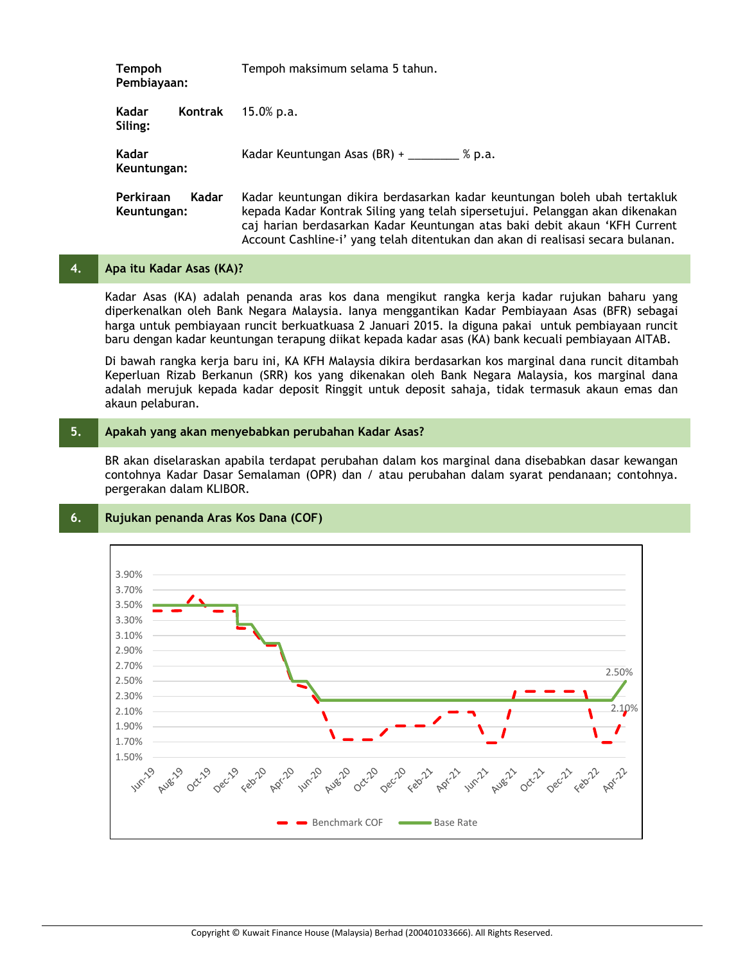| <b>Tempoh</b><br>Pembiayaan:      | Tempoh maksimum selama 5 tahun.                                                                                                                                                                                                                                                                                             |  |  |
|-----------------------------------|-----------------------------------------------------------------------------------------------------------------------------------------------------------------------------------------------------------------------------------------------------------------------------------------------------------------------------|--|--|
| Kadar<br>Kontrak<br>Siling:       | $15.0\%$ p.a.                                                                                                                                                                                                                                                                                                               |  |  |
| Kadar<br>Keuntungan:              | Kadar Keuntungan Asas (BR) +<br>% p.a.                                                                                                                                                                                                                                                                                      |  |  |
| Perkiraan<br>Kadar<br>Keuntungan: | Kadar keuntungan dikira berdasarkan kadar keuntungan boleh ubah tertakluk<br>kepada Kadar Kontrak Siling yang telah sipersetujui. Pelanggan akan dikenakan<br>caj harian berdasarkan Kadar Keuntungan atas baki debit akaun 'KFH Current<br>Account Cashline-i' yang telah ditentukan dan akan di realisasi secara bulanan. |  |  |

## **4. Apa itu Kadar Asas (KA)?**

Kadar Asas (KA) adalah penanda aras kos dana mengikut rangka kerja kadar rujukan baharu yang diperkenalkan oleh Bank Negara Malaysia. Ianya menggantikan Kadar Pembiayaan Asas (BFR) sebagai harga untuk pembiayaan runcit berkuatkuasa 2 Januari 2015. Ia diguna pakai untuk pembiayaan runcit baru dengan kadar keuntungan terapung diikat kepada kadar asas (KA) bank kecuali pembiayaan AITAB.

Di bawah rangka kerja baru ini, KA KFH Malaysia dikira berdasarkan kos marginal dana runcit ditambah Keperluan Rizab Berkanun (SRR) kos yang dikenakan oleh Bank Negara Malaysia, kos marginal dana adalah merujuk kepada kadar deposit Ringgit untuk deposit sahaja, tidak termasuk akaun emas dan akaun pelaburan.

## **5. Apakah yang akan menyebabkan perubahan Kadar Asas?**

BR akan diselaraskan apabila terdapat perubahan dalam kos marginal dana disebabkan dasar kewangan contohnya Kadar Dasar Semalaman (OPR) dan / atau perubahan dalam syarat pendanaan; contohnya. pergerakan dalam KLIBOR.

## 3.90% 3.70% 3.50% 3.30% 3.10% 2.90% 2.70% 2.50% 2.50% 2.30% 2.10% 2.10% 1.90% 1.70% 1.50% Augó Benchmark COF Base Rate

## **6. Rujukan penanda Aras Kos Dana (COF)**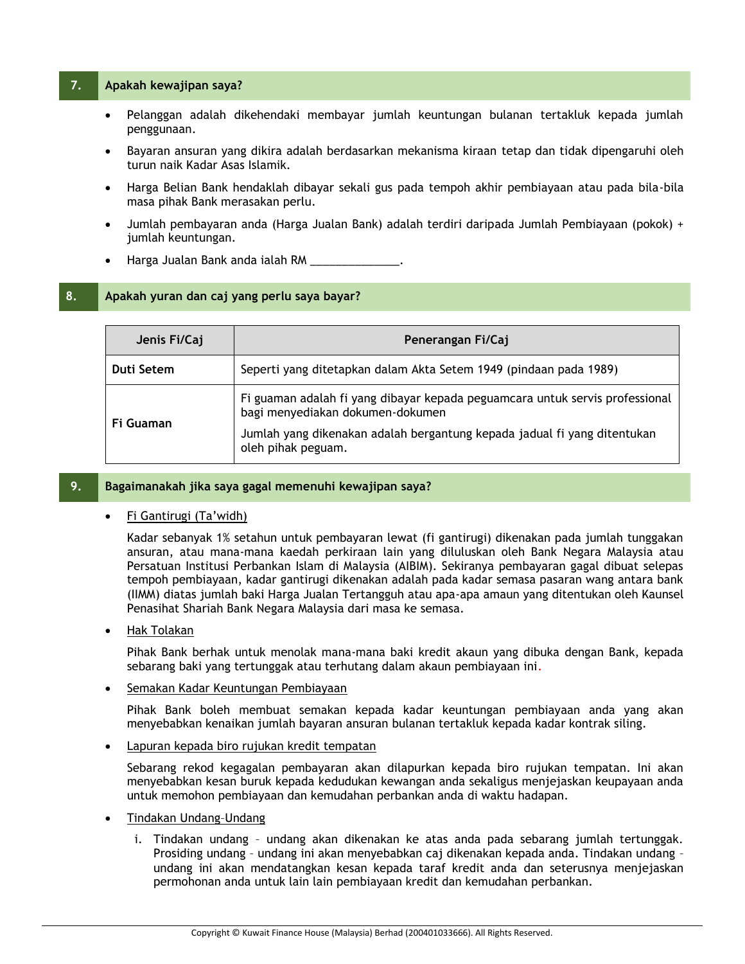## **7. Apakah kewajipan saya?**

- Pelanggan adalah dikehendaki membayar jumlah keuntungan bulanan tertakluk kepada jumlah penggunaan.
- Bayaran ansuran yang dikira adalah berdasarkan mekanisma kiraan tetap dan tidak dipengaruhi oleh turun naik Kadar Asas Islamik.
- Harga Belian Bank hendaklah dibayar sekali gus pada tempoh akhir pembiayaan atau pada bila-bila masa pihak Bank merasakan perlu.
- Jumlah pembayaran anda (Harga Jualan Bank) adalah terdiri daripada Jumlah Pembiayaan (pokok) + jumlah keuntungan.
- Harga Jualan Bank anda ialah RM

## **8. Apakah yuran dan caj yang perlu saya bayar?**

| Jenis Fi/Caj                                                                    | Penerangan Fi/Caj                                                                                                |  |  |
|---------------------------------------------------------------------------------|------------------------------------------------------------------------------------------------------------------|--|--|
| Seperti yang ditetapkan dalam Akta Setem 1949 (pindaan pada 1989)<br>Duti Setem |                                                                                                                  |  |  |
| Fi Guaman                                                                       | Fi guaman adalah fi yang dibayar kepada peguamcara untuk servis professional<br>bagi menyediakan dokumen-dokumen |  |  |
|                                                                                 | Jumlah yang dikenakan adalah bergantung kepada jadual fi yang ditentukan<br>oleh pihak peguam.                   |  |  |

## **9. Bagaimanakah jika saya gagal memenuhi kewajipan saya?**

## Fi Gantirugi (Ta'widh)

Kadar sebanyak 1% setahun untuk pembayaran lewat (fi gantirugi) dikenakan pada jumlah tunggakan ansuran, atau mana-mana kaedah perkiraan lain yang diluluskan oleh Bank Negara Malaysia atau Persatuan Institusi Perbankan Islam di Malaysia (AIBIM). Sekiranya pembayaran gagal dibuat selepas tempoh pembiayaan, kadar gantirugi dikenakan adalah pada kadar semasa pasaran wang antara bank (IIMM) diatas jumlah baki Harga Jualan Tertangguh atau apa-apa amaun yang ditentukan oleh Kaunsel Penasihat Shariah Bank Negara Malaysia dari masa ke semasa.

## Hak Tolakan

Pihak Bank berhak untuk menolak mana-mana baki kredit akaun yang dibuka dengan Bank, kepada sebarang baki yang tertunggak atau terhutang dalam akaun pembiayaan ini.

## Semakan Kadar Keuntungan Pembiayaan

Pihak Bank boleh membuat semakan kepada kadar keuntungan pembiayaan anda yang akan menyebabkan kenaikan jumlah bayaran ansuran bulanan tertakluk kepada kadar kontrak siling.

Lapuran kepada biro rujukan kredit tempatan

Sebarang rekod kegagalan pembayaran akan dilapurkan kepada biro rujukan tempatan. Ini akan menyebabkan kesan buruk kepada kedudukan kewangan anda sekaligus menjejaskan keupayaan anda untuk memohon pembiayaan dan kemudahan perbankan anda di waktu hadapan.

- Tindakan Undang–Undang
	- i. Tindakan undang undang akan dikenakan ke atas anda pada sebarang jumlah tertunggak. Prosiding undang – undang ini akan menyebabkan caj dikenakan kepada anda. Tindakan undang – undang ini akan mendatangkan kesan kepada taraf kredit anda dan seterusnya menjejaskan permohonan anda untuk lain lain pembiayaan kredit dan kemudahan perbankan.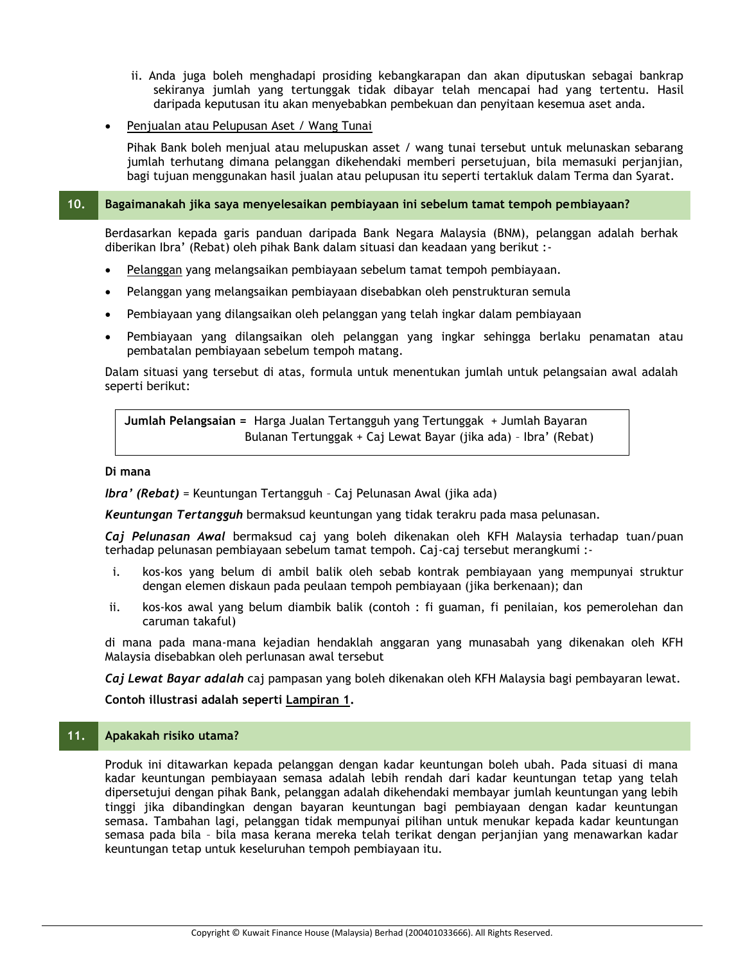- ii. Anda juga boleh menghadapi prosiding kebangkarapan dan akan diputuskan sebagai bankrap sekiranya jumlah yang tertunggak tidak dibayar telah mencapai had yang tertentu. Hasil daripada keputusan itu akan menyebabkan pembekuan dan penyitaan kesemua aset anda.
- Penjualan atau Pelupusan Aset / Wang Tunai

Pihak Bank boleh menjual atau melupuskan asset / wang tunai tersebut untuk melunaskan sebarang jumlah terhutang dimana pelanggan dikehendaki memberi persetujuan, bila memasuki perjanjian, bagi tujuan menggunakan hasil jualan atau pelupusan itu seperti tertakluk dalam Terma dan Syarat.

## **10. Bagaimanakah jika saya menyelesaikan pembiayaan ini sebelum tamat tempoh pembiayaan?**

Berdasarkan kepada garis panduan daripada Bank Negara Malaysia (BNM), pelanggan adalah berhak diberikan Ibra' (Rebat) oleh pihak Bank dalam situasi dan keadaan yang berikut :-

- Pelanggan yang melangsaikan pembiayaan sebelum tamat tempoh pembiayaan.
- Pelanggan yang melangsaikan pembiayaan disebabkan oleh penstrukturan semula
- Pembiayaan yang dilangsaikan oleh pelanggan yang telah ingkar dalam pembiayaan
- Pembiayaan yang dilangsaikan oleh pelanggan yang ingkar sehingga berlaku penamatan atau pembatalan pembiayaan sebelum tempoh matang.

Dalam situasi yang tersebut di atas, formula untuk menentukan jumlah untuk pelangsaian awal adalah seperti berikut:

**Jumlah Pelangsaian =** Harga Jualan Tertangguh yang Tertunggak + Jumlah Bayaran Bulanan Tertunggak + Caj Lewat Bayar (jika ada) – Ibra' (Rebat)

## **Di mana**

*Ibra' (Rebat)* = Keuntungan Tertangguh – Caj Pelunasan Awal (jika ada)

*Keuntungan Tertangguh* bermaksud keuntungan yang tidak terakru pada masa pelunasan.

*Caj Pelunasan Awal* bermaksud caj yang boleh dikenakan oleh KFH Malaysia terhadap tuan/puan terhadap pelunasan pembiayaan sebelum tamat tempoh. Caj-caj tersebut merangkumi :-

- i. kos-kos yang belum di ambil balik oleh sebab kontrak pembiayaan yang mempunyai struktur dengan elemen diskaun pada peulaan tempoh pembiayaan (jika berkenaan); dan
- ii. kos-kos awal yang belum diambik balik (contoh : fi guaman, fi penilaian, kos pemerolehan dan caruman takaful)

di mana pada mana-mana kejadian hendaklah anggaran yang munasabah yang dikenakan oleh KFH Malaysia disebabkan oleh perlunasan awal tersebut

*Caj Lewat Bayar adalah* caj pampasan yang boleh dikenakan oleh KFH Malaysia bagi pembayaran lewat.

**Contoh illustrasi adalah seperti Lampiran 1.**

## **11. Apakakah risiko utama?**

Produk ini ditawarkan kepada pelanggan dengan kadar keuntungan boleh ubah. Pada situasi di mana kadar keuntungan pembiayaan semasa adalah lebih rendah dari kadar keuntungan tetap yang telah dipersetujui dengan pihak Bank, pelanggan adalah dikehendaki membayar jumlah keuntungan yang lebih tinggi jika dibandingkan dengan bayaran keuntungan bagi pembiayaan dengan kadar keuntungan semasa. Tambahan lagi, pelanggan tidak mempunyai pilihan untuk menukar kepada kadar keuntungan semasa pada bila – bila masa kerana mereka telah terikat dengan perjanjian yang menawarkan kadar keuntungan tetap untuk keseluruhan tempoh pembiayaan itu.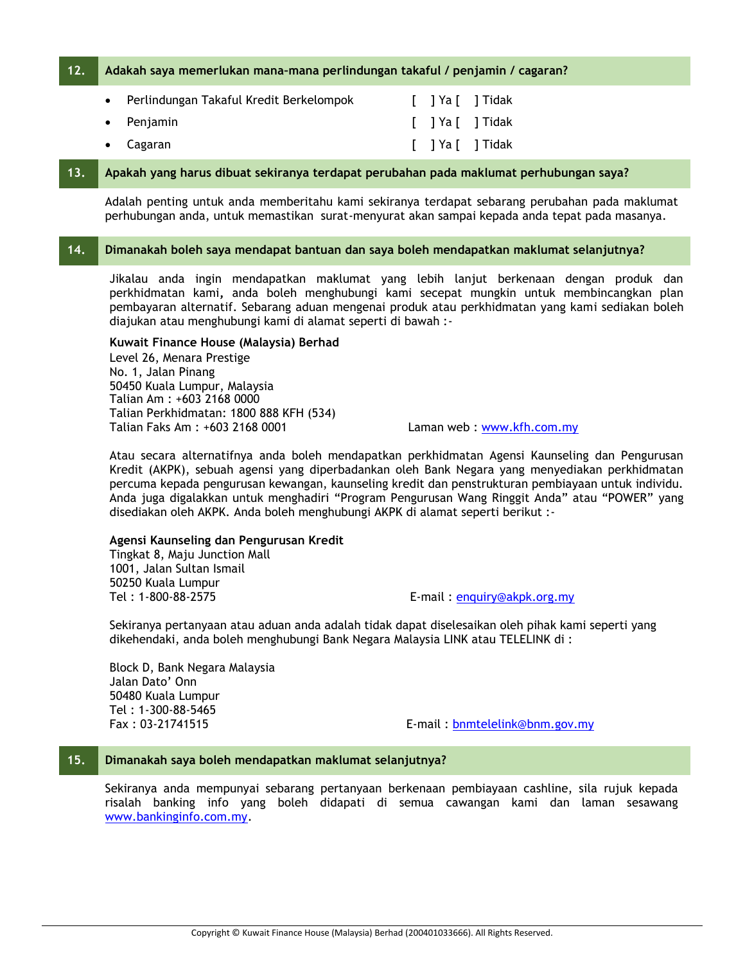## **12. Adakah saya memerlukan mana–mana perlindungan takaful / penjamin / cagaran?**

| • Perlindungan Takaful Kredit Berkelompok |  | [ ]Ya[ ]Tidak    |
|-------------------------------------------|--|------------------|
| $\bullet$ Penjamin                        |  | [ ] Ya [ ] Tidak |
| $\bullet$ Cagaran                         |  | 「 ]Ya「 ]Tidak    |

## **13. Apakah yang harus dibuat sekiranya terdapat perubahan pada maklumat perhubungan saya?**

Adalah penting untuk anda memberitahu kami sekiranya terdapat sebarang perubahan pada maklumat perhubungan anda, untuk memastikan surat-menyurat akan sampai kepada anda tepat pada masanya.

## **14. Dimanakah boleh saya mendapat bantuan dan saya boleh mendapatkan maklumat selanjutnya?**

Jikalau anda ingin mendapatkan maklumat yang lebih lanjut berkenaan dengan produk dan perkhidmatan kami**,** anda boleh menghubungi kami secepat mungkin untuk membincangkan plan pembayaran alternatif. Sebarang aduan mengenai produk atau perkhidmatan yang kami sediakan boleh diajukan atau menghubungi kami di alamat seperti di bawah :-

## **Kuwait Finance House (Malaysia) Berhad**

Level 26, Menara Prestige No. 1, Jalan Pinang 50450 Kuala Lumpur, Malaysia Talian Am : +603 2168 0000 Talian Perkhidmatan: 1800 888 KFH (534) Talian Faks Am : +603 2168 0001 Laman web : [www.kfh.com.my](http://www.kfh.com.my/)

Atau secara alternatifnya anda boleh mendapatkan perkhidmatan Agensi Kaunseling dan Pengurusan Kredit (AKPK), sebuah agensi yang diperbadankan oleh Bank Negara yang menyediakan perkhidmatan percuma kepada pengurusan kewangan, kaunseling kredit dan penstrukturan pembiayaan untuk individu. Anda juga digalakkan untuk menghadiri "Program Pengurusan Wang Ringgit Anda" atau "POWER" yang disediakan oleh AKPK. Anda boleh menghubungi AKPK di alamat seperti berikut :-

### **Agensi Kaunseling dan Pengurusan Kredit**

Tingkat 8, Maju Junction Mall 1001, Jalan Sultan Ismail 50250 Kuala Lumpur

Tel : 1-800-88-2575 E-mail : [enquiry@akpk.org.my](mailto:enquiry@akpk.org.my)

Sekiranya pertanyaan atau aduan anda adalah tidak dapat diselesaikan oleh pihak kami seperti yang dikehendaki, anda boleh menghubungi Bank Negara Malaysia LINK atau TELELINK di :

Block D, Bank Negara Malaysia Jalan Dato' Onn 50480 Kuala Lumpur Tel : 1-300-88-5465

Fax : 03-21741515 E-mail : [bnmtelelink@bnm.gov.my](mailto:bnmtelelink@bnm.gov.my)

## **15. Dimanakah saya boleh mendapatkan maklumat selanjutnya?**

Sekiranya anda mempunyai sebarang pertanyaan berkenaan pembiayaan cashline, sila rujuk kepada risalah banking info yang boleh didapati di semua cawangan kami dan laman sesawang [www.bankinginfo.com.my.](http://www.bankinginfo.com.my/)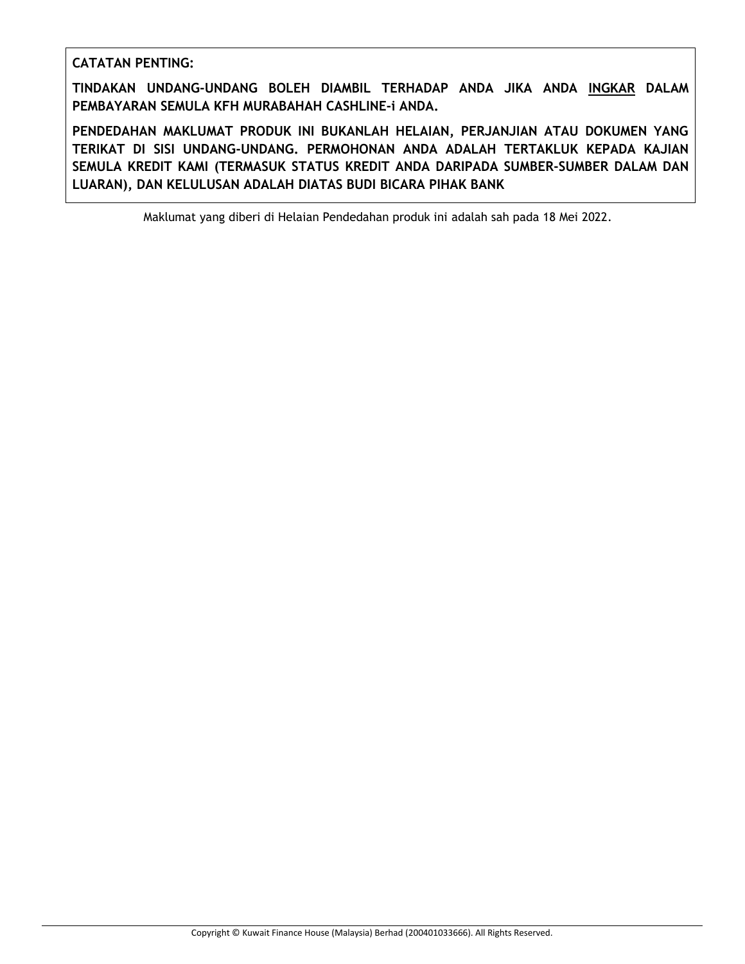## **CATATAN PENTING:**

**TINDAKAN UNDANG-UNDANG BOLEH DIAMBIL TERHADAP ANDA JIKA ANDA INGKAR DALAM PEMBAYARAN SEMULA KFH MURABAHAH CASHLINE-i ANDA.**

**PENDEDAHAN MAKLUMAT PRODUK INI BUKANLAH HELAIAN, PERJANJIAN ATAU DOKUMEN YANG TERIKAT DI SISI UNDANG-UNDANG. PERMOHONAN ANDA ADALAH TERTAKLUK KEPADA KAJIAN SEMULA KREDIT KAMI (TERMASUK STATUS KREDIT ANDA DARIPADA SUMBER-SUMBER DALAM DAN LUARAN), DAN KELULUSAN ADALAH DIATAS BUDI BICARA PIHAK BANK**

Maklumat yang diberi di Helaian Pendedahan produk ini adalah sah pada 18 Mei 2022.